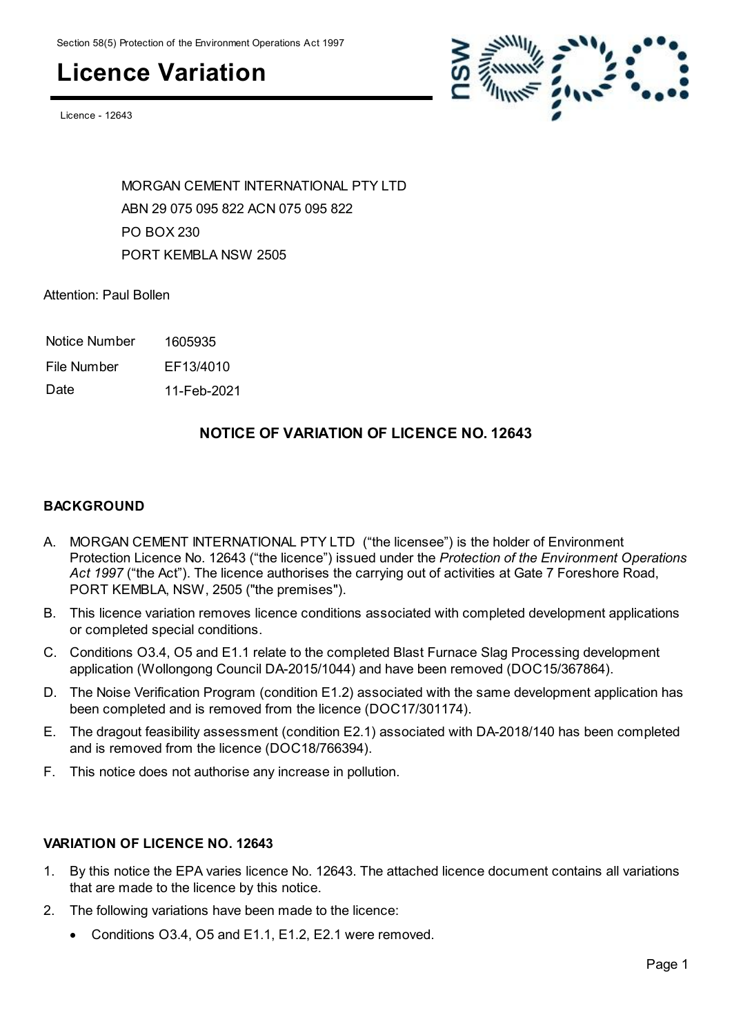### **Licence Variation**

Licence - 12643



MORGAN CEMENT INTERNATIONAL PTY LTD ABN 29 075 095 822 ACN 075 095 822 PO BOX 230 PORT KEMBLA NSW 2505

Attention: Paul Bollen

Notice Number 1605935

File Number EF13/4010

Date 11-Feb-2021

#### **NOTICE OF VARIATION OF LICENCE NO. 12643**

#### **BACKGROUND**

- A. MORGAN CEMENT INTERNATIONAL PTY LTD ("the licensee") is the holder of Environment Protection Licence No. 12643 ("the licence") issued under the *Protection of the Environment Operations Act 1997* ("the Act"). The licence authorises the carrying out of activities at Gate 7 Foreshore Road, PORT KEMBLA, NSW, 2505 ("the premises").
- B. This licence variation removes licence conditions associated with completed development applications or completed special conditions.
- C. Conditions O3.4, O5 and E1.1 relate to the completed Blast Furnace Slag Processing development application (Wollongong Council DA-2015/1044) and have been removed (DOC15/367864).
- D. The Noise Verification Program (condition E1.2) associated with the same development application has been completed and is removed from the licence (DOC17/301174).
- E. The dragout feasibility assessment (condition E2.1) associated with DA-2018/140 has been completed and is removed from the licence (DOC18/766394).
- F. This notice does not authorise any increase in pollution.

#### **VARIATION OF LICENCE NO. 12643**

- 1. By this notice the EPA varies licence No. 12643. The attached licence document contains all variations that are made to the licence by this notice.
- 2. The following variations have been made to the licence:
	- Conditions O3.4, O5 and E1.1, E1.2, E2.1 were removed.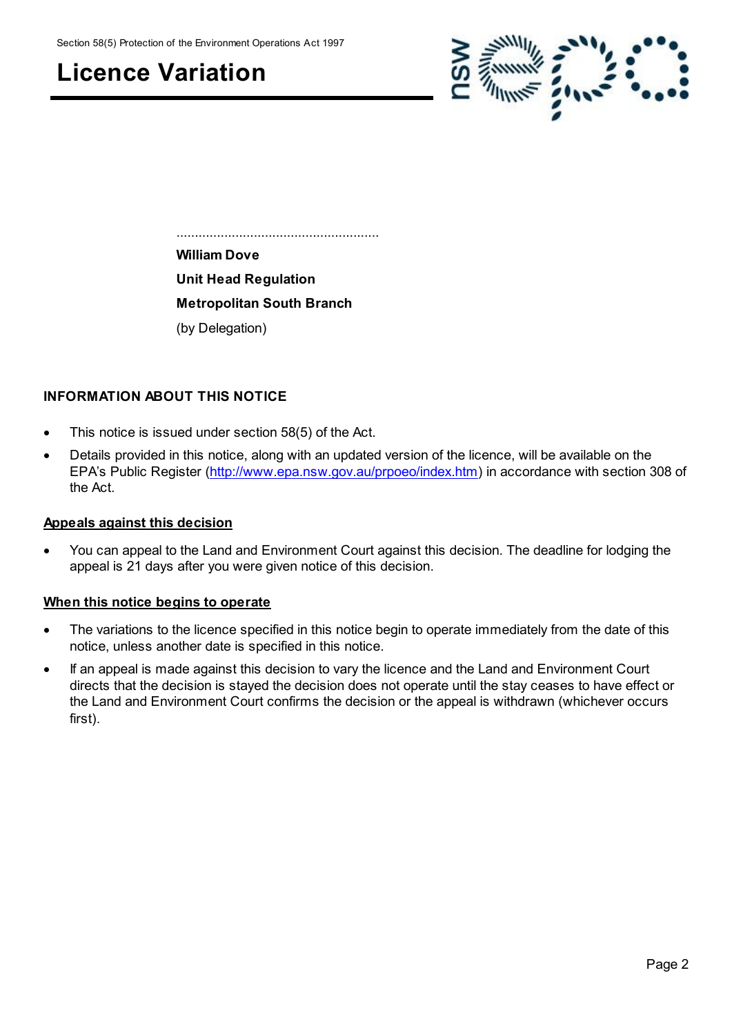Section 58(5) Protection of the Environment Operations Act 1997

### **Licence Variation**



 ....................................................... **William Dove Unit Head Regulation Metropolitan South Branch** (by Delegation)

#### **INFORMATION ABOUT THIS NOTICE**

- This notice is issued under section 58(5) of the Act.
- Details provided in this notice, along with an updated version of the licence, will be available on the EPA's Public Register [\(http://www.epa.nsw.gov.au/prpoeo/index.htm](http://www.environment.nsw.gov.au/prpoeo/index.htm)) in accordance with section 308 of the Act.

#### **Appeals against this decision**

 You can appeal to the Land and Environment Court against this decision. The deadline for lodging the appeal is 21 days after you were given notice of this decision.

#### **When this notice begins to operate**

- The variations to the licence specified in this notice begin to operate immediately from the date of this notice, unless another date is specified in this notice.
- If an appeal is made against this decision to vary the licence and the Land and Environment Court directs that the decision is stayed the decision does not operate until the stay ceases to have effect or the Land and Environment Court confirms the decision or the appeal is withdrawn (whichever occurs first).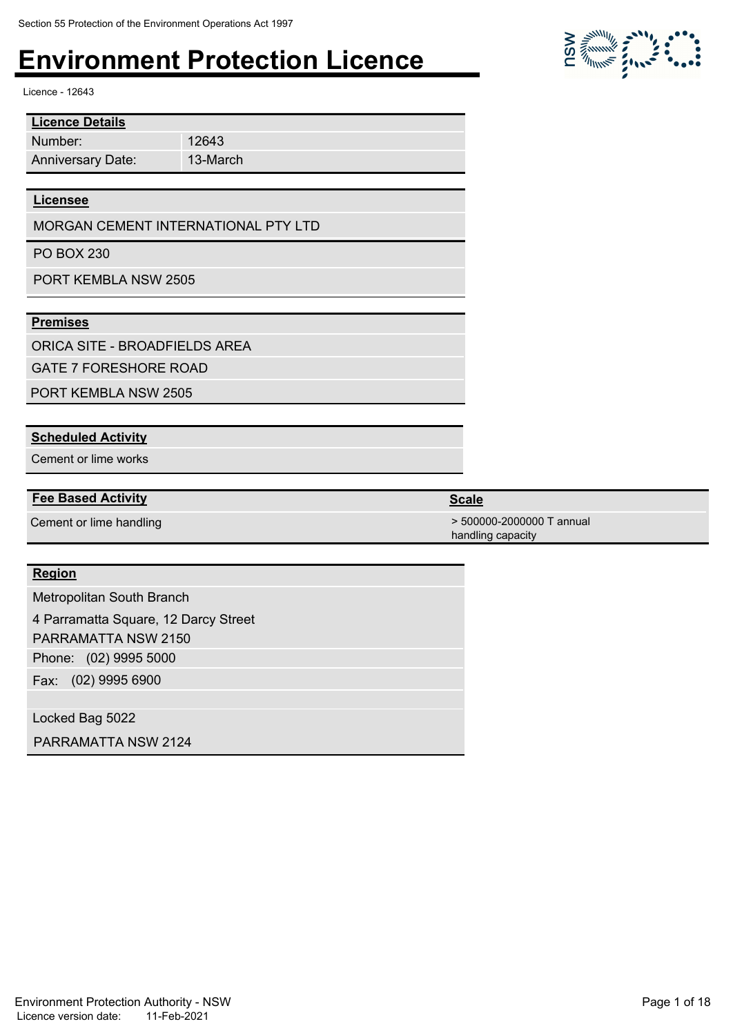12643 13-March

Licence - 12643

Number: **Licence Details** Anniversary Date:

#### **Licensee**

MORGAN CEMENT INTERNATIONAL PTY LTD

PO BOX 230

PORT KEMBLA NSW 2505

#### **Premises**

ORICA SITE - BROADFIELDS AREA

GATE 7 FORESHORE ROAD

PORT KEMBLA NSW 2505

#### **Scheduled Activity**

Cement or lime works

#### **Fee Based Activity Scale**

#### **Region**

Metropolitan South Branch

Phone: (02) 9995 5000 4 Parramatta Square, 12 Darcy Street PARRAMATTA NSW 2150

Fax: (02) 9995 6900

Locked Bag 5022

PARRAMATTA NSW 2124



Cement or lime handling  $\sim$  500000-2000000 T annual handling capacity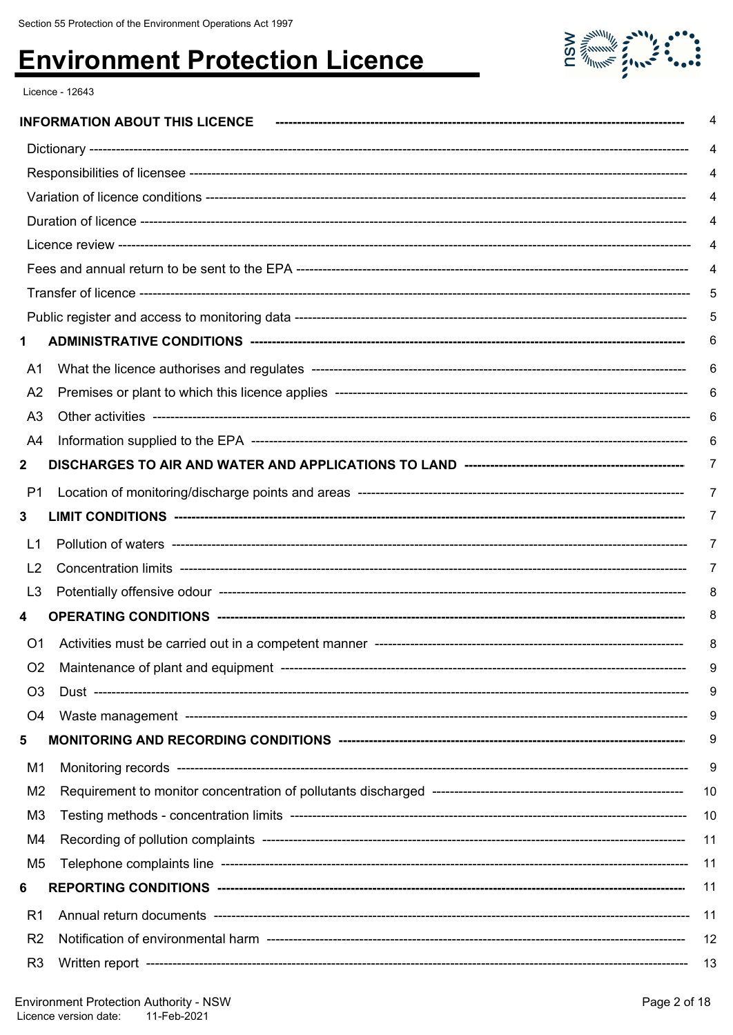

Licence - 12643

|                | <b>INFORMATION ABOUT THIS LICENCE</b>           | 4   |
|----------------|-------------------------------------------------|-----|
|                |                                                 | 4   |
|                |                                                 | 4   |
|                |                                                 | 4   |
|                |                                                 | 4   |
|                |                                                 | 4   |
|                |                                                 | 4   |
|                |                                                 | 5   |
|                |                                                 | 5   |
| 1              |                                                 | 6   |
| A1             |                                                 | 6   |
| A <sub>2</sub> |                                                 | 6   |
| A <sub>3</sub> |                                                 | 6   |
| A4             |                                                 | 6   |
| $\mathbf{2}$   |                                                 | 7   |
| P1             |                                                 | 7   |
| 3              |                                                 | 7   |
| L1             |                                                 | 7   |
| L <sub>2</sub> |                                                 | 7   |
| L <sub>3</sub> |                                                 | 8   |
| 4              |                                                 | 8   |
| O1             |                                                 | 8   |
|                | Maintenance of plant and equipment ------------ | 9   |
| O <sub>3</sub> |                                                 | 9   |
| O4             |                                                 | 9   |
| 5              |                                                 | 9   |
| M1             |                                                 | 9   |
| M <sub>2</sub> |                                                 | 10  |
| M <sub>3</sub> |                                                 | 10  |
| M4             |                                                 | 11  |
| M <sub>5</sub> |                                                 | 11  |
| 6              |                                                 | 11  |
| R <sub>1</sub> |                                                 | -11 |
| R <sub>2</sub> |                                                 | 12  |
| R <sub>3</sub> |                                                 | -13 |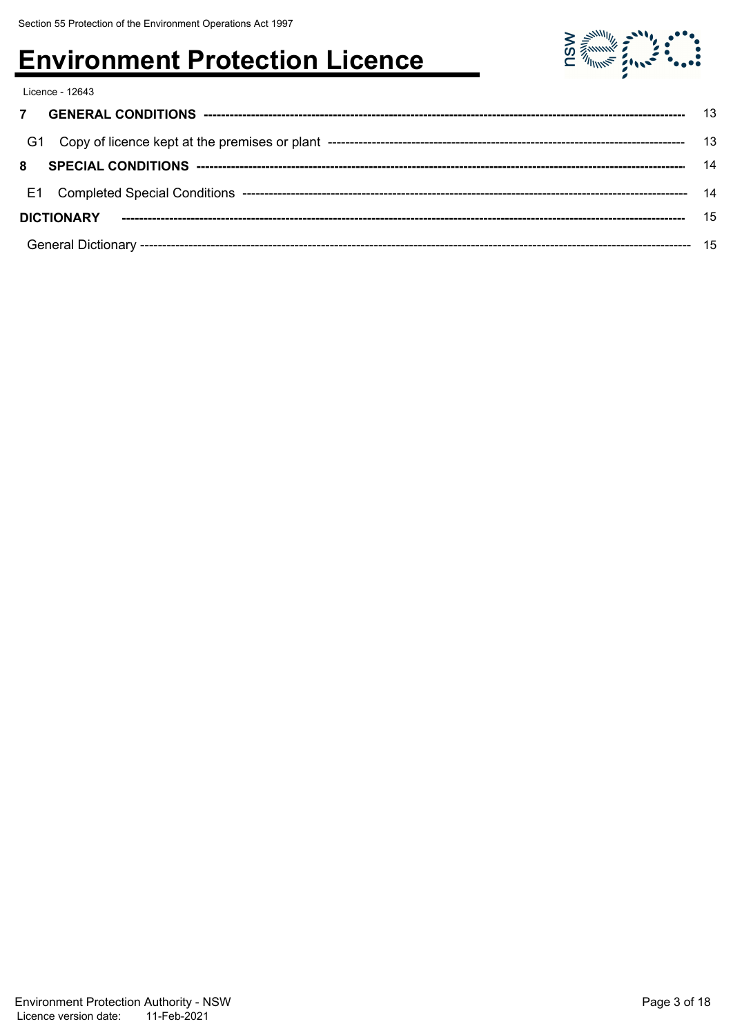Licence - 12643

| - G1              |  |  |
|-------------------|--|--|
| 8                 |  |  |
|                   |  |  |
| <b>DICTIONARY</b> |  |  |
|                   |  |  |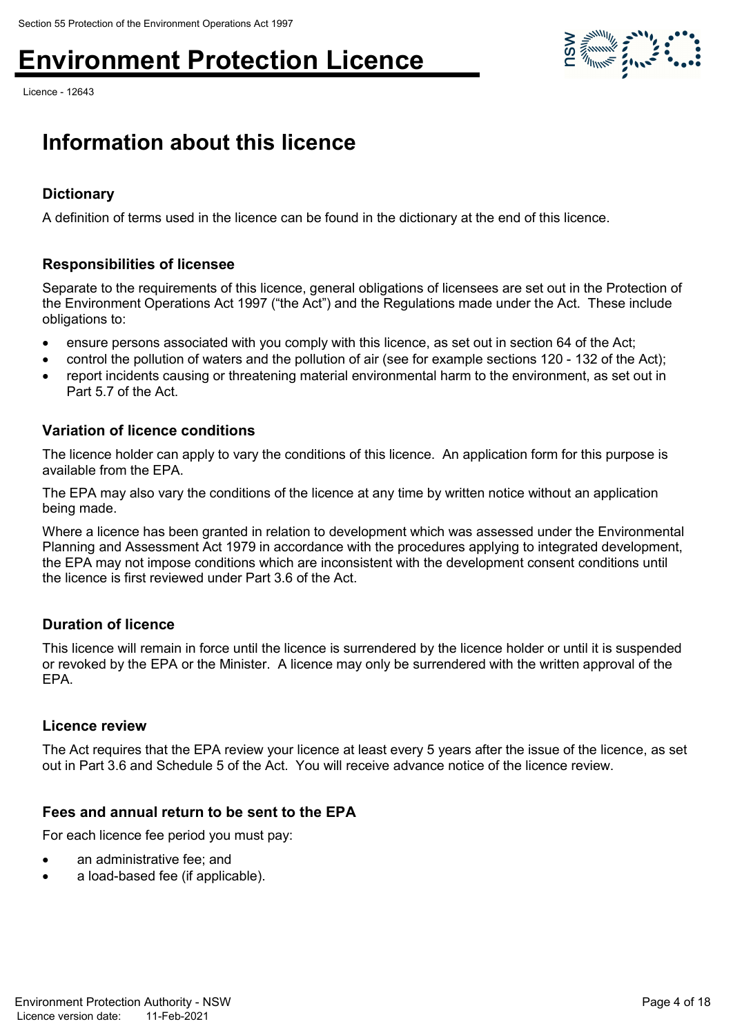Licence - 12643



### **Information about this licence**

#### **Dictionary**

A definition of terms used in the licence can be found in the dictionary at the end of this licence.

#### **Responsibilities of licensee**

Separate to the requirements of this licence, general obligations of licensees are set out in the Protection of the Environment Operations Act 1997 ("the Act") and the Regulations made under the Act. These include obligations to:

- ensure persons associated with you comply with this licence, as set out in section 64 of the Act;
- control the pollution of waters and the pollution of air (see for example sections 120 132 of the Act);
- report incidents causing or threatening material environmental harm to the environment, as set out in Part 5.7 of the Act.

#### **Variation of licence conditions**

The licence holder can apply to vary the conditions of this licence. An application form for this purpose is available from the EPA.

The EPA may also vary the conditions of the licence at any time by written notice without an application being made.

Where a licence has been granted in relation to development which was assessed under the Environmental Planning and Assessment Act 1979 in accordance with the procedures applying to integrated development, the EPA may not impose conditions which are inconsistent with the development consent conditions until the licence is first reviewed under Part 3.6 of the Act.

#### **Duration of licence**

This licence will remain in force until the licence is surrendered by the licence holder or until it is suspended or revoked by the EPA or the Minister. A licence may only be surrendered with the written approval of the EPA.

#### **Licence review**

The Act requires that the EPA review your licence at least every 5 years after the issue of the licence, as set out in Part 3.6 and Schedule 5 of the Act. You will receive advance notice of the licence review.

#### **Fees and annual return to be sent to the EPA**

For each licence fee period you must pay:

- an administrative fee; and
- a load-based fee (if applicable).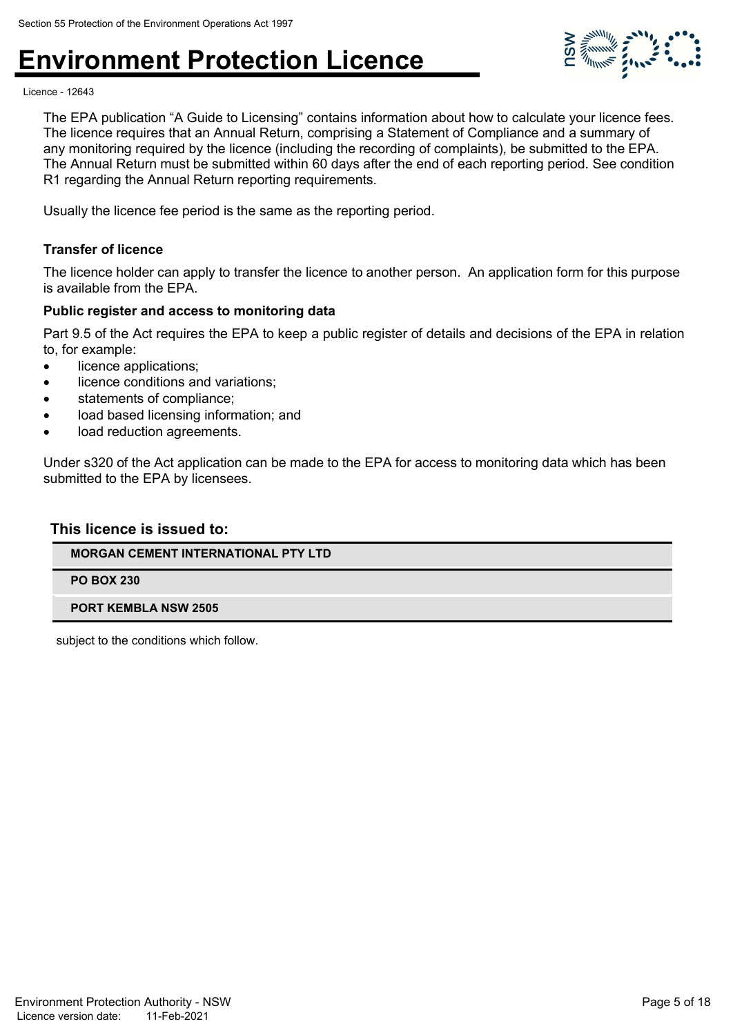

Licence - 12643

The EPA publication "A Guide to Licensing" contains information about how to calculate your licence fees. The licence requires that an Annual Return, comprising a Statement of Compliance and a summary of any monitoring required by the licence (including the recording of complaints), be submitted to the EPA. The Annual Return must be submitted within 60 days after the end of each reporting period. See condition R1 regarding the Annual Return reporting requirements.

Usually the licence fee period is the same as the reporting period.

#### **Transfer of licence**

The licence holder can apply to transfer the licence to another person. An application form for this purpose is available from the EPA.

#### **Public register and access to monitoring data**

Part 9.5 of the Act requires the EPA to keep a public register of details and decisions of the EPA in relation to, for example:

- licence applications;
- licence conditions and variations;
- statements of compliance;
- load based licensing information; and
- load reduction agreements.

Under s320 of the Act application can be made to the EPA for access to monitoring data which has been submitted to the EPA by licensees.

#### **This licence is issued to:**

#### **MORGAN CEMENT INTERNATIONAL PTY LTD**

#### **PO BOX 230**

#### **PORT KEMBLA NSW 2505**

subject to the conditions which follow.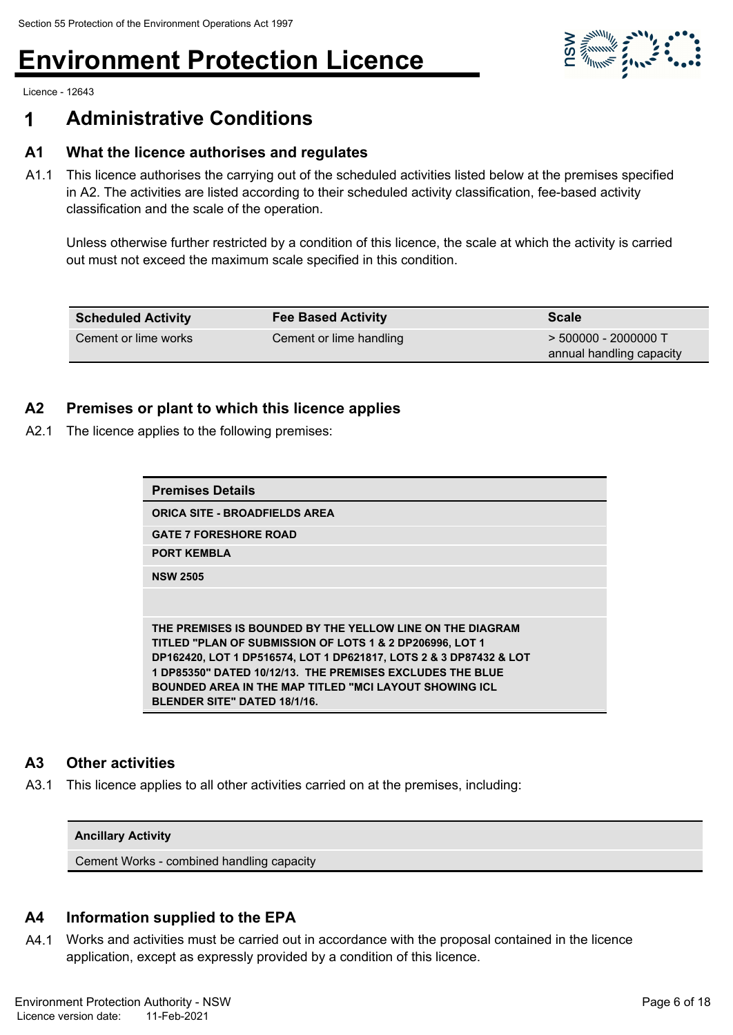

Licence - 12643

### **1 Administrative Conditions**

#### **A1 What the licence authorises and regulates**

A1.1 This licence authorises the carrying out of the scheduled activities listed below at the premises specified in A2. The activities are listed according to their scheduled activity classification, fee-based activity classification and the scale of the operation.

Unless otherwise further restricted by a condition of this licence, the scale at which the activity is carried out must not exceed the maximum scale specified in this condition.

| <b>Scheduled Activity</b> | <b>Fee Based Activity</b>                                                     | <b>Scale</b> |
|---------------------------|-------------------------------------------------------------------------------|--------------|
| Cement or lime works      | $>$ 500000 - 2000000 T<br>Cement or lime handling<br>annual handling capacity |              |

#### **A2 Premises or plant to which this licence applies**

A2.1 The licence applies to the following premises:

| <b>Premises Details</b>                                                                                                                                                                                                                                                                                                                                          |
|------------------------------------------------------------------------------------------------------------------------------------------------------------------------------------------------------------------------------------------------------------------------------------------------------------------------------------------------------------------|
| <b>ORICA SITE - BROADFIELDS AREA</b>                                                                                                                                                                                                                                                                                                                             |
| <b>GATE 7 FORESHORE ROAD</b>                                                                                                                                                                                                                                                                                                                                     |
| <b>PORT KEMBLA</b>                                                                                                                                                                                                                                                                                                                                               |
| <b>NSW 2505</b>                                                                                                                                                                                                                                                                                                                                                  |
|                                                                                                                                                                                                                                                                                                                                                                  |
| THE PREMISES IS BOUNDED BY THE YELLOW LINE ON THE DIAGRAM<br>TITLED "PLAN OF SUBMISSION OF LOTS 1 & 2 DP206996, LOT 1<br>DP162420, LOT 1 DP516574, LOT 1 DP621817, LOTS 2 & 3 DP87432 & LOT<br>1 DP85350" DATED 10/12/13. THE PREMISES EXCLUDES THE BLUE<br><b>BOUNDED AREA IN THE MAP TITLED "MCI LAYOUT SHOWING ICL</b><br><b>BLENDER SITE" DATED 18/1/16.</b> |

#### **A3 Other activities**

A3.1 This licence applies to all other activities carried on at the premises, including:

#### **Ancillary Activity**

Cement Works - combined handling capacity

#### **A4 Information supplied to the EPA**

A4.1 Works and activities must be carried out in accordance with the proposal contained in the licence application, except as expressly provided by a condition of this licence.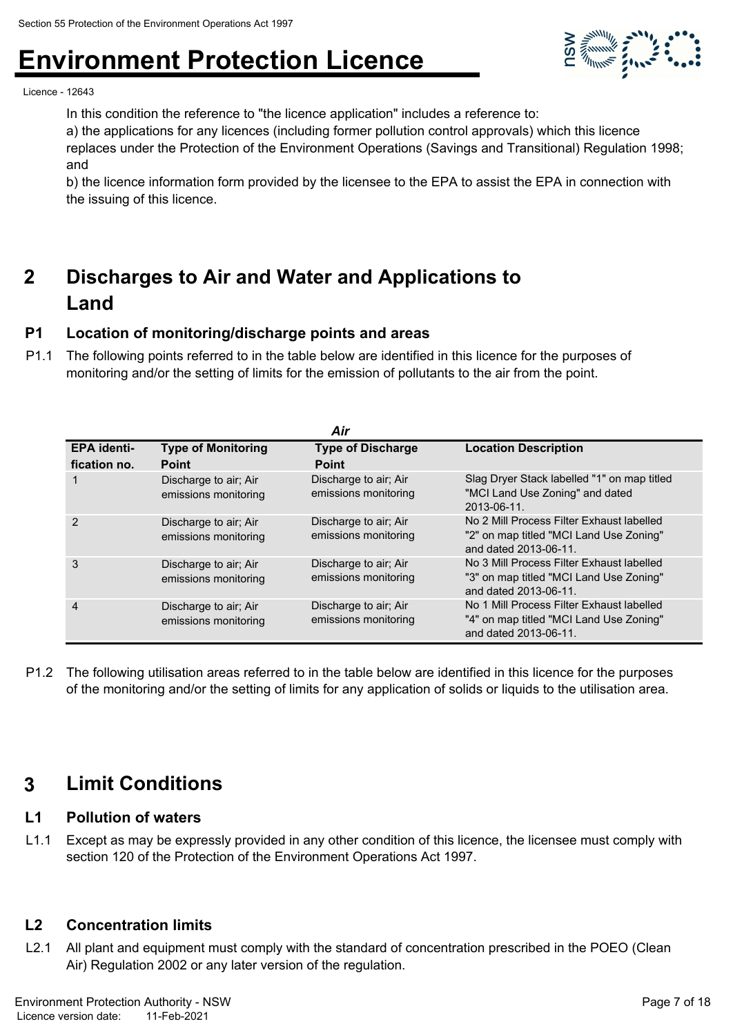

Licence - 12643

In this condition the reference to "the licence application" includes a reference to:

a) the applications for any licences (including former pollution control approvals) which this licence

replaces under the Protection of the Environment Operations (Savings and Transitional) Regulation 1998; and

b) the licence information form provided by the licensee to the EPA to assist the EPA in connection with the issuing of this licence.

#### **Discharges to Air and Water and Applications to Land 2**

#### **P1 Location of monitoring/discharge points and areas**

P1.1 The following points referred to in the table below are identified in this licence for the purposes of monitoring and/or the setting of limits for the emission of pollutants to the air from the point.

|                    |                                               | Air                                           |                                                                                                               |
|--------------------|-----------------------------------------------|-----------------------------------------------|---------------------------------------------------------------------------------------------------------------|
| <b>EPA identi-</b> | <b>Type of Monitoring</b>                     | <b>Type of Discharge</b>                      | <b>Location Description</b>                                                                                   |
| fication no.       | <b>Point</b>                                  | <b>Point</b>                                  |                                                                                                               |
|                    | Discharge to air; Air<br>emissions monitoring | Discharge to air; Air<br>emissions monitoring | Slag Dryer Stack labelled "1" on map titled<br>"MCI Land Use Zoning" and dated<br>2013-06-11.                 |
| 2                  | Discharge to air; Air<br>emissions monitoring | Discharge to air; Air<br>emissions monitoring | No 2 Mill Process Filter Exhaust labelled<br>"2" on map titled "MCI Land Use Zoning"<br>and dated 2013-06-11. |
| 3                  | Discharge to air; Air<br>emissions monitoring | Discharge to air; Air<br>emissions monitoring | No 3 Mill Process Filter Exhaust labelled<br>"3" on map titled "MCI Land Use Zoning"<br>and dated 2013-06-11. |
| 4                  | Discharge to air; Air<br>emissions monitoring | Discharge to air; Air<br>emissions monitoring | No 1 Mill Process Filter Exhaust labelled<br>"4" on map titled "MCI Land Use Zoning"<br>and dated 2013-06-11. |

P1.2 The following utilisation areas referred to in the table below are identified in this licence for the purposes of the monitoring and/or the setting of limits for any application of solids or liquids to the utilisation area.

### **3 Limit Conditions**

#### **L1 Pollution of waters**

L1.1 Except as may be expressly provided in any other condition of this licence, the licensee must comply with section 120 of the Protection of the Environment Operations Act 1997.

#### **L2 Concentration limits**

L2.1 All plant and equipment must comply with the standard of concentration prescribed in the POEO (Clean Air) Regulation 2002 or any later version of the regulation.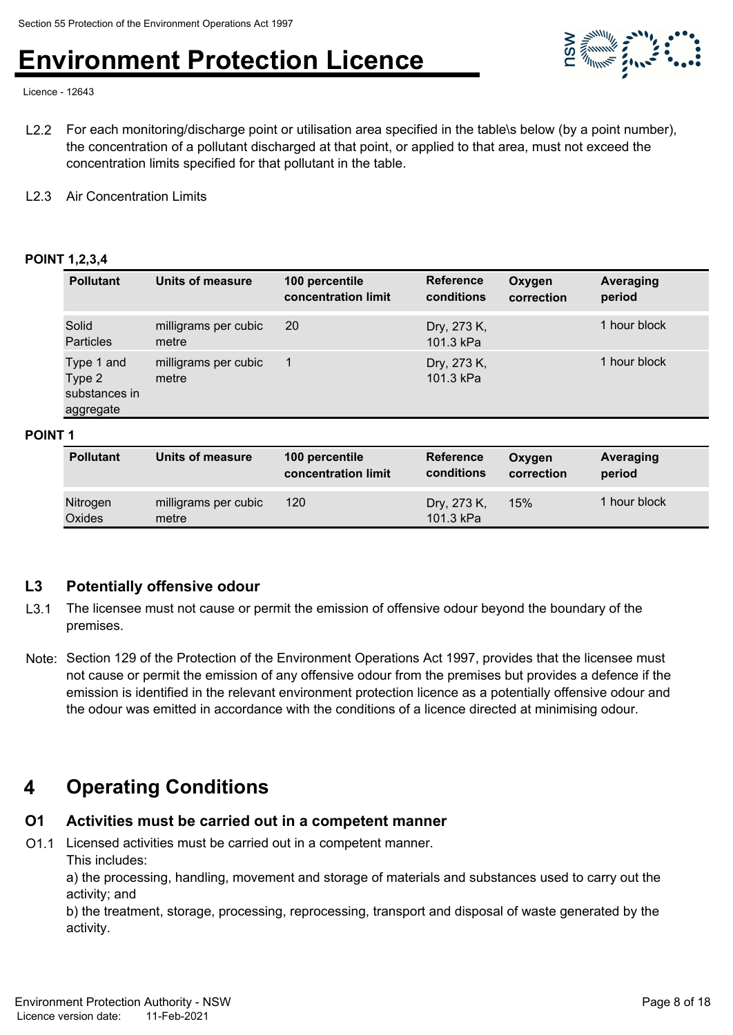

Licence - 12643

- L2.2 For each monitoring/discharge point or utilisation area specified in the table\s below (by a point number), the concentration of a pollutant discharged at that point, or applied to that area, must not exceed the concentration limits specified for that pollutant in the table.
- L2.3 Air Concentration Limits

#### **POINT 1,2,3,4**

| <b>Pollutant</b>                                   | Units of measure              | 100 percentile<br>concentration limit | <b>Reference</b><br>conditions | Oxygen<br>correction | <b>Averaging</b><br>period |
|----------------------------------------------------|-------------------------------|---------------------------------------|--------------------------------|----------------------|----------------------------|
| Solid<br>Particles                                 | milligrams per cubic<br>metre | -20                                   | Dry, 273 K,<br>101.3 kPa       |                      | 1 hour block               |
| Type 1 and<br>Type 2<br>substances in<br>aggregate | milligrams per cubic<br>metre |                                       | Dry, 273 K,<br>101.3 kPa       |                      | 1 hour block               |

#### **POINT 1**

| <b>Pollutant</b>   | Units of measure              | 100 percentile<br>concentration limit | <b>Reference</b><br>conditions | Oxygen<br>correction | Averaging<br>period |
|--------------------|-------------------------------|---------------------------------------|--------------------------------|----------------------|---------------------|
| Nitrogen<br>Oxides | milligrams per cubic<br>metre | 120                                   | Dry, 273 K,<br>101.3 kPa       | 15%                  | 1 hour block        |

#### **L3 Potentially offensive odour**

- L3.1 The licensee must not cause or permit the emission of offensive odour beyond the boundary of the premises.
- Note: Section 129 of the Protection of the Environment Operations Act 1997, provides that the licensee must not cause or permit the emission of any offensive odour from the premises but provides a defence if the emission is identified in the relevant environment protection licence as a potentially offensive odour and the odour was emitted in accordance with the conditions of a licence directed at minimising odour.

### **4 Operating Conditions**

#### **O1 Activities must be carried out in a competent manner**

- O1.1 Licensed activities must be carried out in a competent manner.
	- This includes:

a) the processing, handling, movement and storage of materials and substances used to carry out the activity; and

b) the treatment, storage, processing, reprocessing, transport and disposal of waste generated by the activity.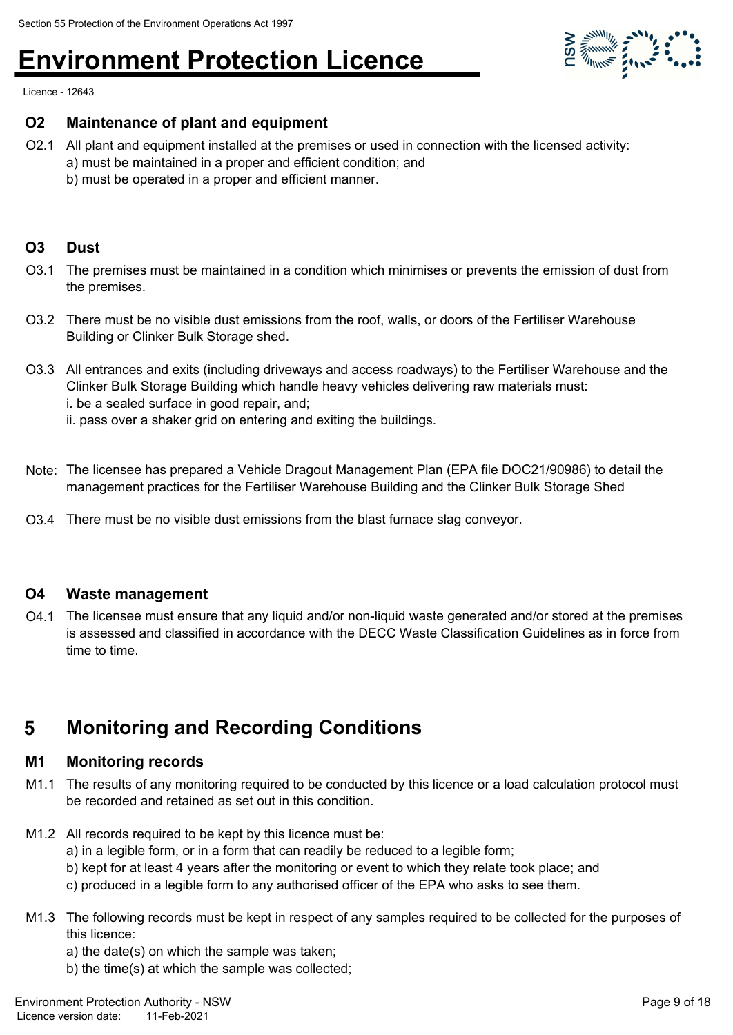

Licence - 12643

#### **O2 Maintenance of plant and equipment**

O2.1 All plant and equipment installed at the premises or used in connection with the licensed activity: a) must be maintained in a proper and efficient condition; and b) must be operated in a proper and efficient manner.

#### **O3 Dust**

- O3.1 The premises must be maintained in a condition which minimises or prevents the emission of dust from the premises.
- O3.2 There must be no visible dust emissions from the roof, walls, or doors of the Fertiliser Warehouse Building or Clinker Bulk Storage shed.
- O3.3 All entrances and exits (including driveways and access roadways) to the Fertiliser Warehouse and the Clinker Bulk Storage Building which handle heavy vehicles delivering raw materials must: i. be a sealed surface in good repair, and;
	- ii. pass over a shaker grid on entering and exiting the buildings.
- Note: The licensee has prepared a Vehicle Dragout Management Plan (EPA file DOC21/90986) to detail the management practices for the Fertiliser Warehouse Building and the Clinker Bulk Storage Shed
- O3.4 There must be no visible dust emissions from the blast furnace slag conveyor.

#### **O4 Waste management**

O4.1 The licensee must ensure that any liquid and/or non-liquid waste generated and/or stored at the premises is assessed and classified in accordance with the DECC Waste Classification Guidelines as in force from time to time.

### **5 Monitoring and Recording Conditions**

#### **M1 Monitoring records**

- M1.1 The results of any monitoring required to be conducted by this licence or a load calculation protocol must be recorded and retained as set out in this condition.
- M1.2 All records required to be kept by this licence must be:
	- a) in a legible form, or in a form that can readily be reduced to a legible form;
	- b) kept for at least 4 years after the monitoring or event to which they relate took place; and
	- c) produced in a legible form to any authorised officer of the EPA who asks to see them.
- M1.3 The following records must be kept in respect of any samples required to be collected for the purposes of this licence:
	- a) the date(s) on which the sample was taken;
	- b) the time(s) at which the sample was collected;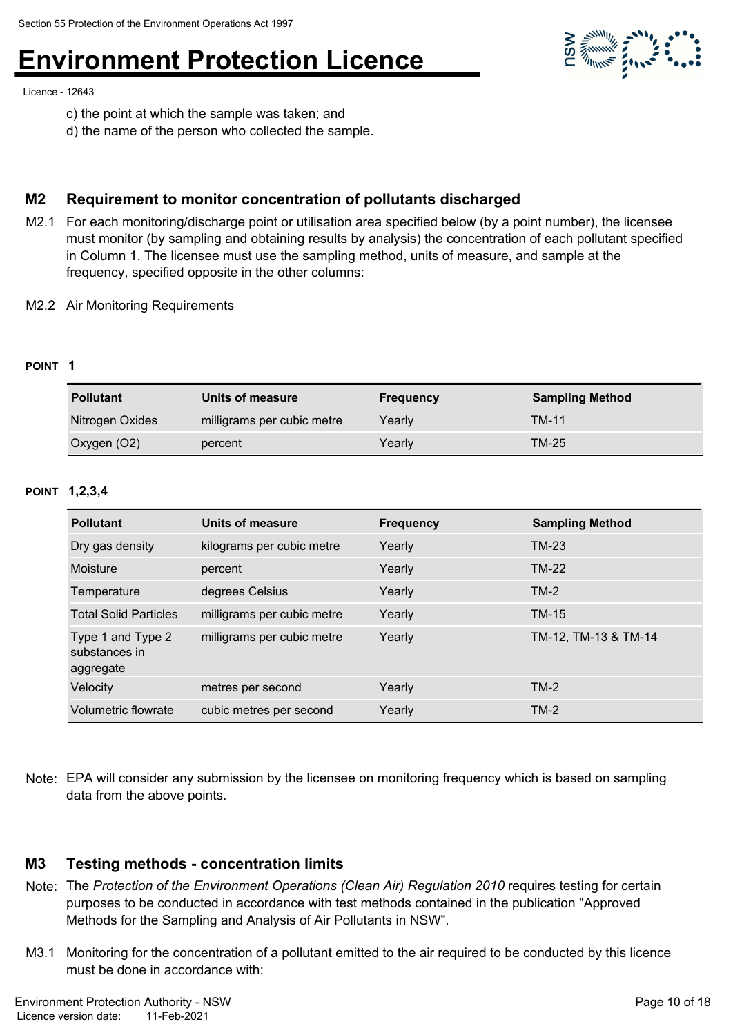Licence - 12643

- c) the point at which the sample was taken; and
- d) the name of the person who collected the sample.

#### **M2 Requirement to monitor concentration of pollutants discharged**

- M2.1 For each monitoring/discharge point or utilisation area specified below (by a point number), the licensee must monitor (by sampling and obtaining results by analysis) the concentration of each pollutant specified in Column 1. The licensee must use the sampling method, units of measure, and sample at the frequency, specified opposite in the other columns:
- M2.2 Air Monitoring Requirements

#### **POINT 1**

| <b>Pollutant</b> | Units of measure           | <b>Frequency</b> | <b>Sampling Method</b> |
|------------------|----------------------------|------------------|------------------------|
| Nitrogen Oxides  | milligrams per cubic metre | Yearly           | <b>TM-11</b>           |
| Oxygen (O2)      | percent                    | Yearly           | TM-25                  |

#### **POINT 1,2,3,4**

| <b>Pollutant</b>                                | Units of measure           | <b>Frequency</b> | <b>Sampling Method</b> |
|-------------------------------------------------|----------------------------|------------------|------------------------|
| Dry gas density                                 | kilograms per cubic metre  | Yearly           | <b>TM-23</b>           |
| Moisture                                        | percent                    | Yearly           | <b>TM-22</b>           |
| Temperature                                     | degrees Celsius            | Yearly           | $TM-2$                 |
| <b>Total Solid Particles</b>                    | milligrams per cubic metre | Yearly           | <b>TM-15</b>           |
| Type 1 and Type 2<br>substances in<br>aggregate | milligrams per cubic metre | Yearly           | TM-12, TM-13 & TM-14   |
| Velocity                                        | metres per second          | Yearly           | $TM-2$                 |
| Volumetric flowrate                             | cubic metres per second    | Yearly           | $TM-2$                 |

Note: EPA will consider any submission by the licensee on monitoring frequency which is based on sampling data from the above points.

#### **M3 Testing methods - concentration limits**

- Note: The *Protection of the Environment Operations (Clean Air) Regulation 2010* requires testing for certain purposes to be conducted in accordance with test methods contained in the publication "Approved Methods for the Sampling and Analysis of Air Pollutants in NSW".
- M3.1 Monitoring for the concentration of a pollutant emitted to the air required to be conducted by this licence must be done in accordance with:

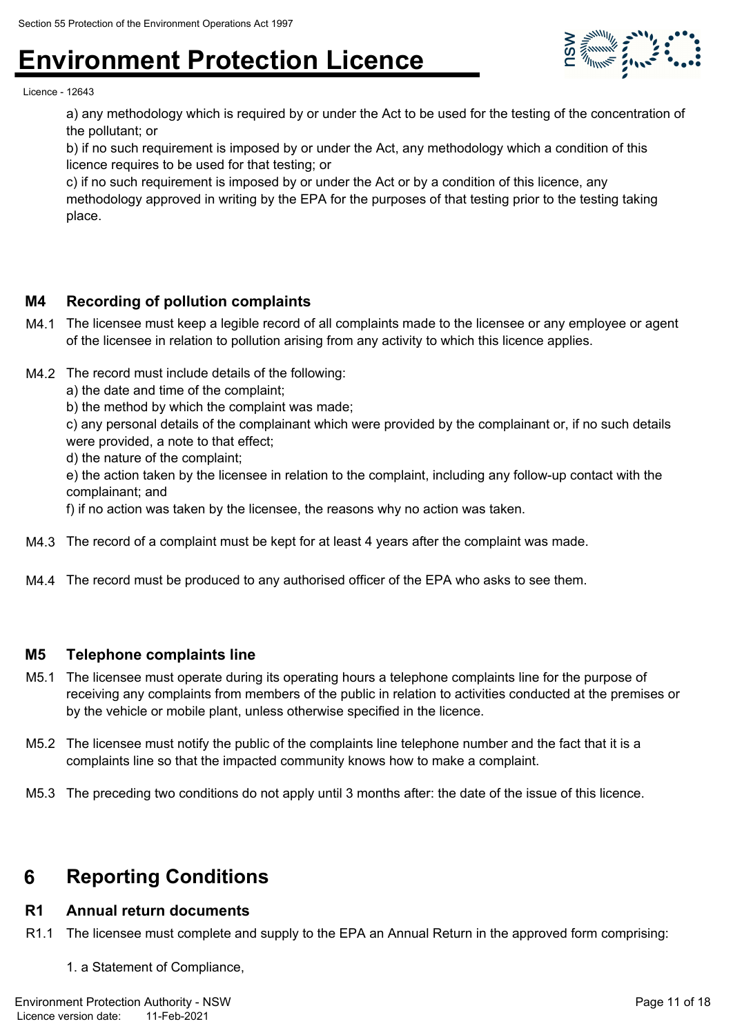

Licence - 12643

a) any methodology which is required by or under the Act to be used for the testing of the concentration of the pollutant; or

b) if no such requirement is imposed by or under the Act, any methodology which a condition of this licence requires to be used for that testing; or

c) if no such requirement is imposed by or under the Act or by a condition of this licence, any methodology approved in writing by the EPA for the purposes of that testing prior to the testing taking place.

#### **M4 Recording of pollution complaints**

- M4.1 The licensee must keep a legible record of all complaints made to the licensee or any employee or agent of the licensee in relation to pollution arising from any activity to which this licence applies.
- M4.2 The record must include details of the following:
	- a) the date and time of the complaint;
	- b) the method by which the complaint was made;

c) any personal details of the complainant which were provided by the complainant or, if no such details were provided, a note to that effect;

d) the nature of the complaint;

e) the action taken by the licensee in relation to the complaint, including any follow-up contact with the complainant; and

f) if no action was taken by the licensee, the reasons why no action was taken.

- M4.3 The record of a complaint must be kept for at least 4 years after the complaint was made.
- M4.4 The record must be produced to any authorised officer of the EPA who asks to see them.

#### **M5 Telephone complaints line**

- M5.1 The licensee must operate during its operating hours a telephone complaints line for the purpose of receiving any complaints from members of the public in relation to activities conducted at the premises or by the vehicle or mobile plant, unless otherwise specified in the licence.
- M5.2 The licensee must notify the public of the complaints line telephone number and the fact that it is a complaints line so that the impacted community knows how to make a complaint.
- M5.3 The preceding two conditions do not apply until 3 months after: the date of the issue of this licence.

### **6 Reporting Conditions**

#### **R1 Annual return documents**

- R1.1 The licensee must complete and supply to the EPA an Annual Return in the approved form comprising:
	- 1. a Statement of Compliance,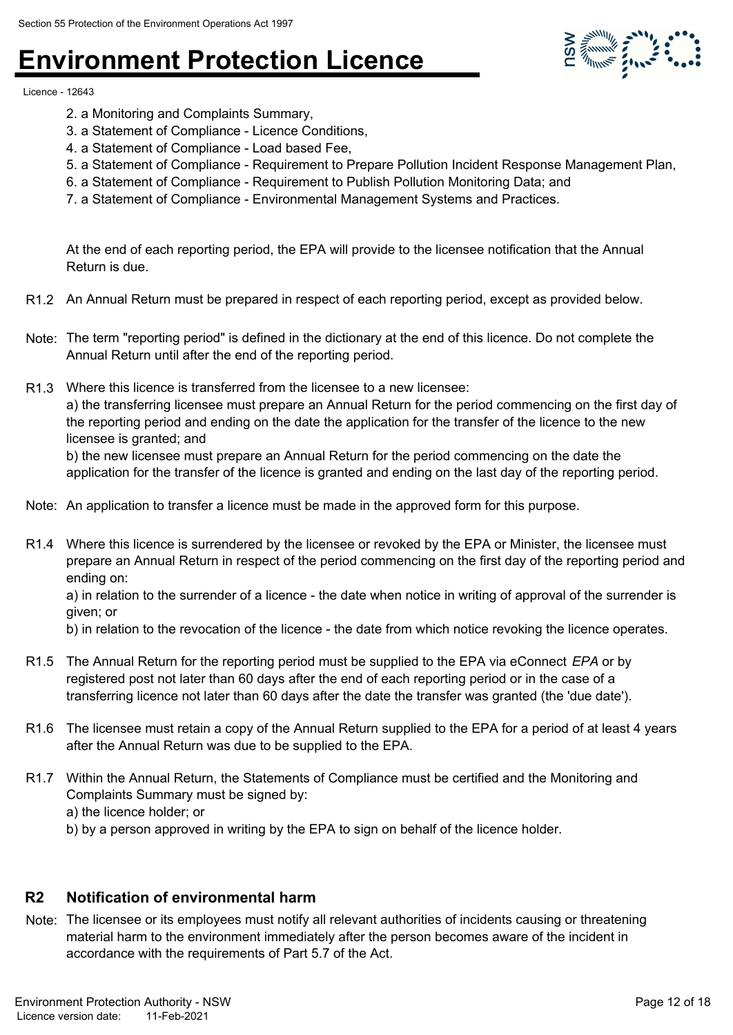

Licence - 12643

- 2. a Monitoring and Complaints Summary,
- 3. a Statement of Compliance Licence Conditions,
- 4. a Statement of Compliance Load based Fee,
- 5. a Statement of Compliance Requirement to Prepare Pollution Incident Response Management Plan,
- 6. a Statement of Compliance Requirement to Publish Pollution Monitoring Data; and
- 7. a Statement of Compliance Environmental Management Systems and Practices.

At the end of each reporting period, the EPA will provide to the licensee notification that the Annual Return is due.

- R1.2 An Annual Return must be prepared in respect of each reporting period, except as provided below.
- Note: The term "reporting period" is defined in the dictionary at the end of this licence. Do not complete the Annual Return until after the end of the reporting period.
- R1.3 Where this licence is transferred from the licensee to a new licensee: a) the transferring licensee must prepare an Annual Return for the period commencing on the first day of the reporting period and ending on the date the application for the transfer of the licence to the new licensee is granted; and

b) the new licensee must prepare an Annual Return for the period commencing on the date the application for the transfer of the licence is granted and ending on the last day of the reporting period.

- Note: An application to transfer a licence must be made in the approved form for this purpose.
- R1.4 Where this licence is surrendered by the licensee or revoked by the EPA or Minister, the licensee must prepare an Annual Return in respect of the period commencing on the first day of the reporting period and ending on:

a) in relation to the surrender of a licence - the date when notice in writing of approval of the surrender is given; or

b) in relation to the revocation of the licence - the date from which notice revoking the licence operates.

- R1.5 The Annual Return for the reporting period must be supplied to the EPA via eConnect *EPA* or by registered post not later than 60 days after the end of each reporting period or in the case of a transferring licence not later than 60 days after the date the transfer was granted (the 'due date').
- R1.6 The licensee must retain a copy of the Annual Return supplied to the EPA for a period of at least 4 years after the Annual Return was due to be supplied to the EPA.
- R1.7 Within the Annual Return, the Statements of Compliance must be certified and the Monitoring and Complaints Summary must be signed by: a) the licence holder; or
	- b) by a person approved in writing by the EPA to sign on behalf of the licence holder.

#### **R2 Notification of environmental harm**

Note: The licensee or its employees must notify all relevant authorities of incidents causing or threatening material harm to the environment immediately after the person becomes aware of the incident in accordance with the requirements of Part 5.7 of the Act.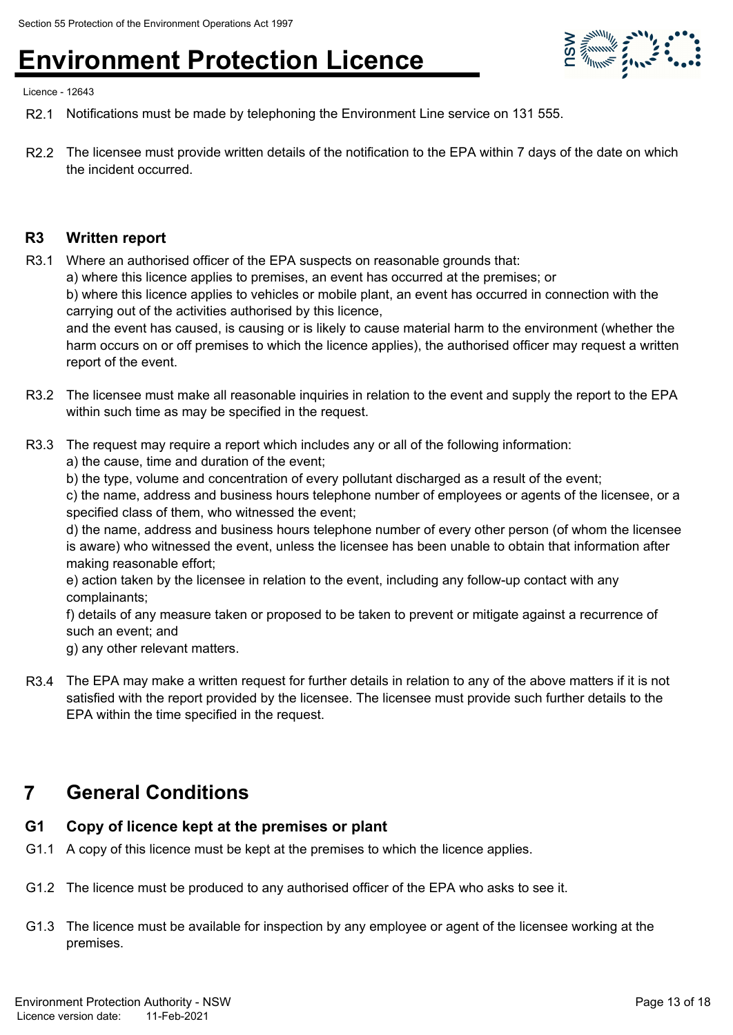

Licence - 12643

- R2.1 Notifications must be made by telephoning the Environment Line service on 131 555.
- R2.2 The licensee must provide written details of the notification to the EPA within 7 days of the date on which the incident occurred.

#### **R3 Written report**

- R3.1 Where an authorised officer of the EPA suspects on reasonable grounds that:
	- a) where this licence applies to premises, an event has occurred at the premises; or

b) where this licence applies to vehicles or mobile plant, an event has occurred in connection with the carrying out of the activities authorised by this licence,

and the event has caused, is causing or is likely to cause material harm to the environment (whether the harm occurs on or off premises to which the licence applies), the authorised officer may request a written report of the event.

- R3.2 The licensee must make all reasonable inquiries in relation to the event and supply the report to the EPA within such time as may be specified in the request.
- R3.3 The request may require a report which includes any or all of the following information:
	- a) the cause, time and duration of the event;
	- b) the type, volume and concentration of every pollutant discharged as a result of the event;

c) the name, address and business hours telephone number of employees or agents of the licensee, or a specified class of them, who witnessed the event;

d) the name, address and business hours telephone number of every other person (of whom the licensee is aware) who witnessed the event, unless the licensee has been unable to obtain that information after making reasonable effort;

e) action taken by the licensee in relation to the event, including any follow-up contact with any complainants;

f) details of any measure taken or proposed to be taken to prevent or mitigate against a recurrence of such an event; and

g) any other relevant matters.

R3.4 The EPA may make a written request for further details in relation to any of the above matters if it is not satisfied with the report provided by the licensee. The licensee must provide such further details to the EPA within the time specified in the request.

### **7 General Conditions**

#### **G1 Copy of licence kept at the premises or plant**

- G1.1 A copy of this licence must be kept at the premises to which the licence applies.
- G1.2 The licence must be produced to any authorised officer of the EPA who asks to see it.
- G1.3 The licence must be available for inspection by any employee or agent of the licensee working at the premises.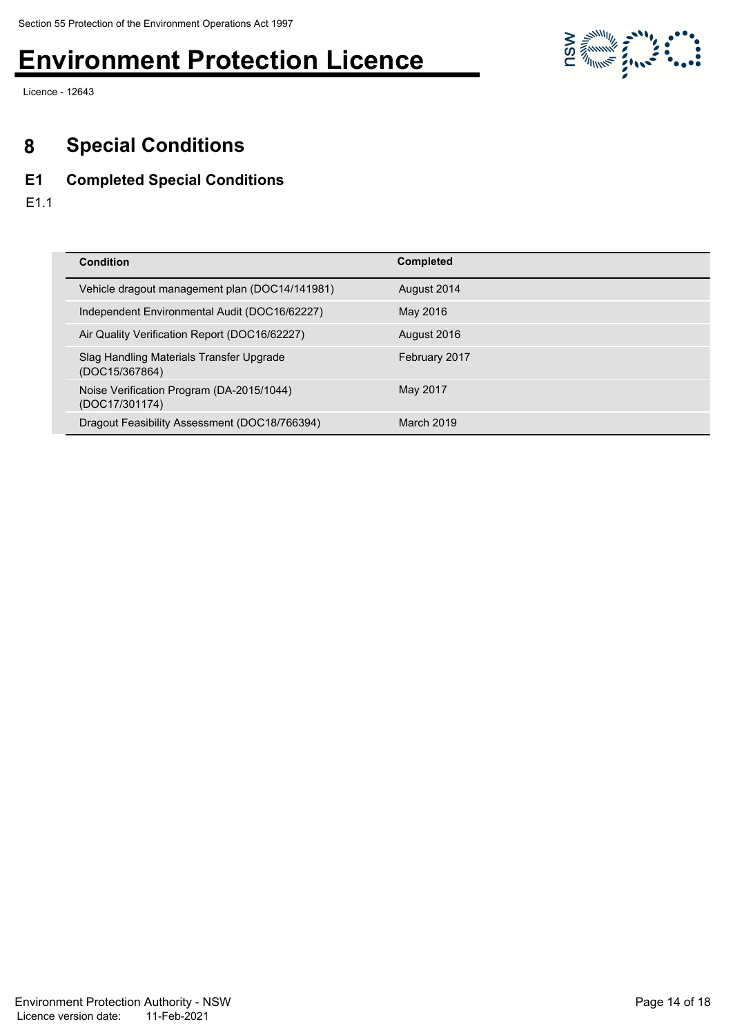

Licence - 12643

### **8 Special Conditions**

#### **E1 Completed Special Conditions**

E1.1

| <b>Condition</b>                                            | <b>Completed</b> |
|-------------------------------------------------------------|------------------|
|                                                             |                  |
| Vehicle dragout management plan (DOC14/141981)              | August 2014      |
| Independent Environmental Audit (DOC16/62227)               | May 2016         |
| Air Quality Verification Report (DOC16/62227)               | August 2016      |
| Slag Handling Materials Transfer Upgrade<br>(DOC15/367864)  | February 2017    |
| Noise Verification Program (DA-2015/1044)<br>(DOC17/301174) | May 2017         |
| Dragout Feasibility Assessment (DOC18/766394)               | March 2019       |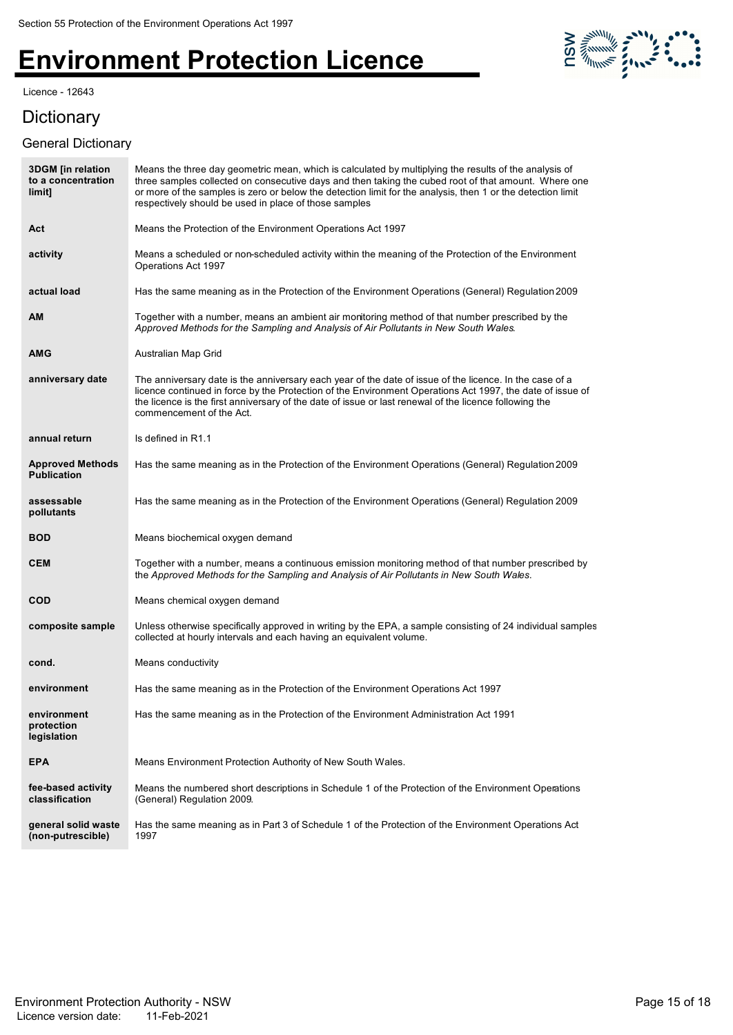Licence - 12643

# 

### **Dictionary**

#### General Dictionary

| <b>3DGM</b> [in relation<br>to a concentration<br>limit] | Means the three day geometric mean, which is calculated by multiplying the results of the analysis of<br>three samples collected on consecutive days and then taking the cubed root of that amount. Where one<br>or more of the samples is zero or below the detection limit for the analysis, then 1 or the detection limit<br>respectively should be used in place of those samples |
|----------------------------------------------------------|---------------------------------------------------------------------------------------------------------------------------------------------------------------------------------------------------------------------------------------------------------------------------------------------------------------------------------------------------------------------------------------|
| Act                                                      | Means the Protection of the Environment Operations Act 1997                                                                                                                                                                                                                                                                                                                           |
| activity                                                 | Means a scheduled or non-scheduled activity within the meaning of the Protection of the Environment<br>Operations Act 1997                                                                                                                                                                                                                                                            |
| actual load                                              | Has the same meaning as in the Protection of the Environment Operations (General) Regulation 2009                                                                                                                                                                                                                                                                                     |
| АM                                                       | Together with a number, means an ambient air monitoring method of that number prescribed by the<br>Approved Methods for the Sampling and Analysis of Air Pollutants in New South Wales.                                                                                                                                                                                               |
| AMG                                                      | Australian Map Grid                                                                                                                                                                                                                                                                                                                                                                   |
| anniversary date                                         | The anniversary date is the anniversary each year of the date of issue of the licence. In the case of a<br>licence continued in force by the Protection of the Environment Operations Act 1997, the date of issue of<br>the licence is the first anniversary of the date of issue or last renewal of the licence following the<br>commencement of the Act.                            |
| annual return                                            | Is defined in R1.1                                                                                                                                                                                                                                                                                                                                                                    |
| <b>Approved Methods</b><br><b>Publication</b>            | Has the same meaning as in the Protection of the Environment Operations (General) Regulation 2009                                                                                                                                                                                                                                                                                     |
| assessable<br>pollutants                                 | Has the same meaning as in the Protection of the Environment Operations (General) Regulation 2009                                                                                                                                                                                                                                                                                     |
| <b>BOD</b>                                               | Means biochemical oxygen demand                                                                                                                                                                                                                                                                                                                                                       |
| <b>CEM</b>                                               | Together with a number, means a continuous emission monitoring method of that number prescribed by<br>the Approved Methods for the Sampling and Analysis of Air Pollutants in New South Wales.                                                                                                                                                                                        |
| COD                                                      | Means chemical oxygen demand                                                                                                                                                                                                                                                                                                                                                          |
| composite sample                                         | Unless otherwise specifically approved in writing by the EPA, a sample consisting of 24 individual samples<br>collected at hourly intervals and each having an equivalent volume.                                                                                                                                                                                                     |
| cond.                                                    | Means conductivity                                                                                                                                                                                                                                                                                                                                                                    |
| environment                                              | Has the same meaning as in the Protection of the Environment Operations Act 1997                                                                                                                                                                                                                                                                                                      |
| environment<br>protection<br>legislation                 | Has the same meaning as in the Protection of the Environment Administration Act 1991                                                                                                                                                                                                                                                                                                  |
| <b>EPA</b>                                               | Means Environment Protection Authority of New South Wales.                                                                                                                                                                                                                                                                                                                            |
| fee-based activity<br>classification                     | Means the numbered short descriptions in Schedule 1 of the Protection of the Environment Operations<br>(General) Regulation 2009.                                                                                                                                                                                                                                                     |
| general solid waste<br>(non-putrescible)                 | Has the same meaning as in Part 3 of Schedule 1 of the Protection of the Environment Operations Act<br>1997                                                                                                                                                                                                                                                                           |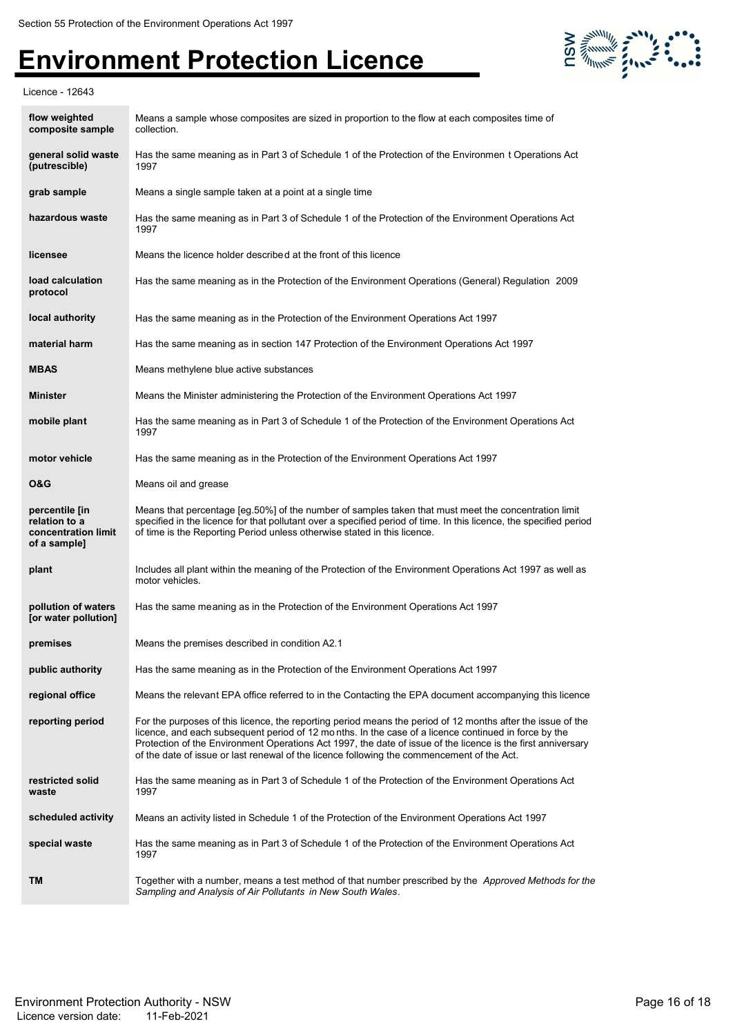

Licence - 12643

| flow weighted<br>composite sample                                      | Means a sample whose composites are sized in proportion to the flow at each composites time of<br>collection.                                                                                                                                                                                                                                                                                                                     |
|------------------------------------------------------------------------|-----------------------------------------------------------------------------------------------------------------------------------------------------------------------------------------------------------------------------------------------------------------------------------------------------------------------------------------------------------------------------------------------------------------------------------|
| general solid waste<br>(putrescible)                                   | Has the same meaning as in Part 3 of Schedule 1 of the Protection of the Environmen t Operations Act<br>1997                                                                                                                                                                                                                                                                                                                      |
| grab sample                                                            | Means a single sample taken at a point at a single time                                                                                                                                                                                                                                                                                                                                                                           |
| hazardous waste                                                        | Has the same meaning as in Part 3 of Schedule 1 of the Protection of the Environment Operations Act<br>1997                                                                                                                                                                                                                                                                                                                       |
| licensee                                                               | Means the licence holder described at the front of this licence                                                                                                                                                                                                                                                                                                                                                                   |
| load calculation<br>protocol                                           | Has the same meaning as in the Protection of the Environment Operations (General) Regulation 2009                                                                                                                                                                                                                                                                                                                                 |
| local authority                                                        | Has the same meaning as in the Protection of the Environment Operations Act 1997                                                                                                                                                                                                                                                                                                                                                  |
| material harm                                                          | Has the same meaning as in section 147 Protection of the Environment Operations Act 1997                                                                                                                                                                                                                                                                                                                                          |
| <b>MBAS</b>                                                            | Means methylene blue active substances                                                                                                                                                                                                                                                                                                                                                                                            |
| <b>Minister</b>                                                        | Means the Minister administering the Protection of the Environment Operations Act 1997                                                                                                                                                                                                                                                                                                                                            |
| mobile plant                                                           | Has the same meaning as in Part 3 of Schedule 1 of the Protection of the Environment Operations Act<br>1997                                                                                                                                                                                                                                                                                                                       |
| motor vehicle                                                          | Has the same meaning as in the Protection of the Environment Operations Act 1997                                                                                                                                                                                                                                                                                                                                                  |
| 0&G                                                                    | Means oil and grease                                                                                                                                                                                                                                                                                                                                                                                                              |
| percentile [in<br>relation to a<br>concentration limit<br>of a sample] | Means that percentage [eg.50%] of the number of samples taken that must meet the concentration limit<br>specified in the licence for that pollutant over a specified period of time. In this licence, the specified period<br>of time is the Reporting Period unless otherwise stated in this licence.                                                                                                                            |
| plant                                                                  | Includes all plant within the meaning of the Protection of the Environment Operations Act 1997 as well as<br>motor vehicles.                                                                                                                                                                                                                                                                                                      |
| pollution of waters<br>[or water pollution]                            | Has the same meaning as in the Protection of the Environment Operations Act 1997                                                                                                                                                                                                                                                                                                                                                  |
| premises                                                               | Means the premises described in condition A2.1                                                                                                                                                                                                                                                                                                                                                                                    |
| public authority                                                       | Has the same meaning as in the Protection of the Environment Operations Act 1997                                                                                                                                                                                                                                                                                                                                                  |
| regional office                                                        | Means the relevant EPA office referred to in the Contacting the EPA document accompanying this licence                                                                                                                                                                                                                                                                                                                            |
| reporting period                                                       | For the purposes of this licence, the reporting period means the period of 12 months after the issue of the<br>licence, and each subsequent period of 12 months. In the case of a licence continued in force by the<br>Protection of the Environment Operations Act 1997, the date of issue of the licence is the first anniversary<br>of the date of issue or last renewal of the licence following the commencement of the Act. |
| restricted solid<br>waste                                              | Has the same meaning as in Part 3 of Schedule 1 of the Protection of the Environment Operations Act<br>1997                                                                                                                                                                                                                                                                                                                       |
| scheduled activity                                                     | Means an activity listed in Schedule 1 of the Protection of the Environment Operations Act 1997                                                                                                                                                                                                                                                                                                                                   |
| special waste                                                          | Has the same meaning as in Part 3 of Schedule 1 of the Protection of the Environment Operations Act<br>1997                                                                                                                                                                                                                                                                                                                       |
| TM                                                                     | Together with a number, means a test method of that number prescribed by the Approved Methods for the<br>Sampling and Analysis of Air Pollutants in New South Wales.                                                                                                                                                                                                                                                              |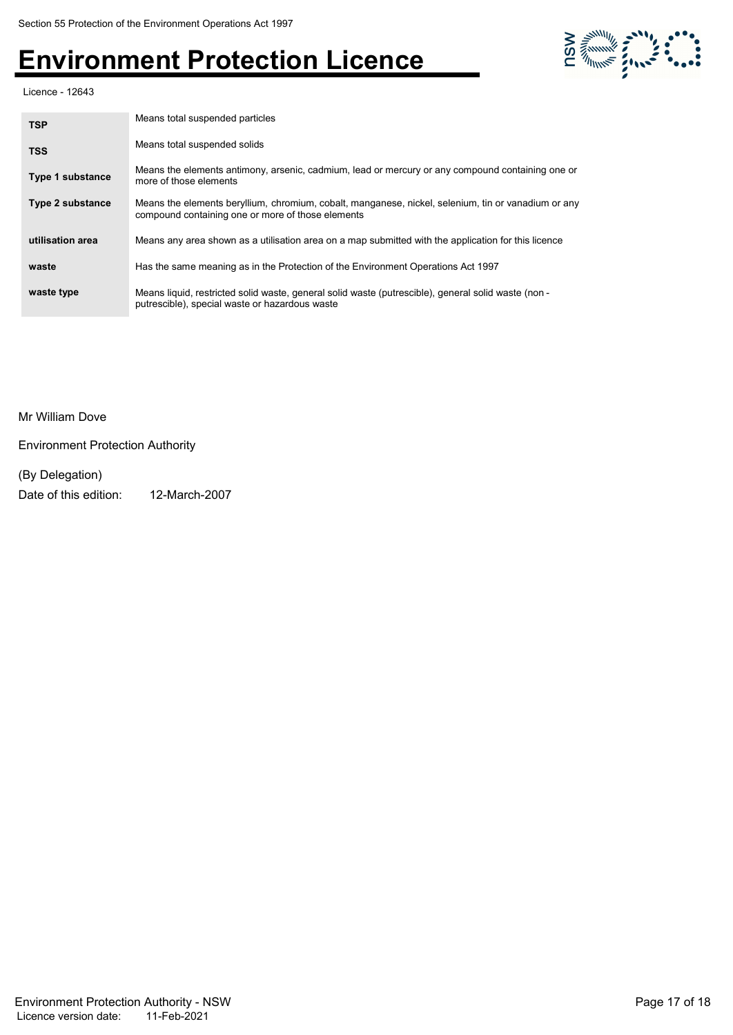

Licence - 12643

| <b>TSP</b>              | Means total suspended particles<br>Means total suspended solids                                                                                          |  |
|-------------------------|----------------------------------------------------------------------------------------------------------------------------------------------------------|--|
| <b>TSS</b>              |                                                                                                                                                          |  |
| <b>Type 1 substance</b> | Means the elements antimony, arsenic, cadmium, lead or mercury or any compound containing one or<br>more of those elements                               |  |
| <b>Type 2 substance</b> | Means the elements beryllium, chromium, cobalt, manganese, nickel, selenium, tin or vanadium or any<br>compound containing one or more of those elements |  |
| utilisation area        | Means any area shown as a utilisation area on a map submitted with the application for this licence                                                      |  |
| waste                   | Has the same meaning as in the Protection of the Environment Operations Act 1997                                                                         |  |
| waste type              | Means liquid, restricted solid waste, general solid waste (putrescible), general solid waste (non -<br>putrescible), special waste or hazardous waste    |  |

Mr William Dove

Environment Protection Authority

(By Delegation) Date of this edition: 12-March-2007